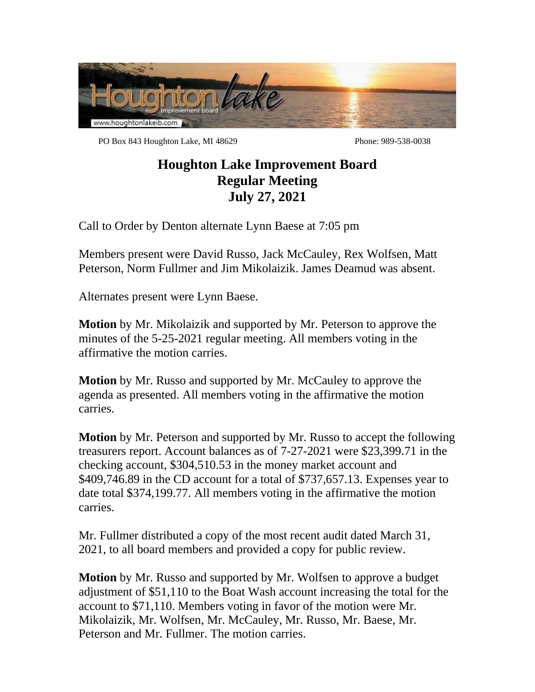

PO Box 843 Houghton Lake, MI 48629 Phone: 989-538-0038

## **Houghton Lake Improvement Board Regular Meeting July 27, 2021**

Call to Order by Denton alternate Lynn Baese at 7:05 pm

Members present were David Russo, Jack McCauley, Rex Wolfsen, Matt Peterson, Norm Fullmer and Jim Mikolaizik. James Deamud was absent.

Alternates present were Lynn Baese.

**Motion** by Mr. Mikolaizik and supported by Mr. Peterson to approve the minutes of the 5-25-2021 regular meeting. All members voting in the affirmative the motion carries.

**Motion** by Mr. Russo and supported by Mr. McCauley to approve the agenda as presented. All members voting in the affirmative the motion carries.

**Motion** by Mr. Peterson and supported by Mr. Russo to accept the following treasurers report. Account balances as of 7-27-2021 were \$23,399.71 in the checking account, \$304,510.53 in the money market account and \$409,746.89 in the CD account for a total of \$737,657.13. Expenses year to date total \$374,199.77. All members voting in the affirmative the motion carries.

Mr. Fullmer distributed a copy of the most recent audit dated March 31, 2021, to all board members and provided a copy for public review.

**Motion** by Mr. Russo and supported by Mr. Wolfsen to approve a budget adjustment of \$51,110 to the Boat Wash account increasing the total for the account to \$71,110. Members voting in favor of the motion were Mr. Mikolaizik, Mr. Wolfsen, Mr. McCauley, Mr. Russo, Mr. Baese, Mr. Peterson and Mr. Fullmer. The motion carries.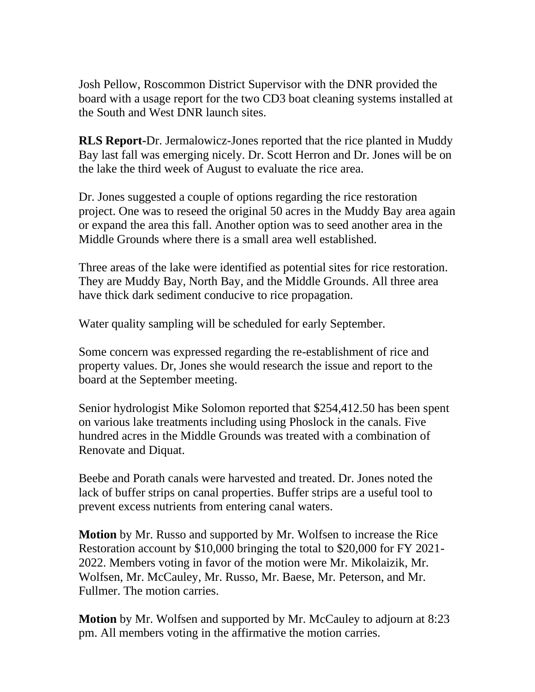Josh Pellow, Roscommon District Supervisor with the DNR provided the board with a usage report for the two CD3 boat cleaning systems installed at the South and West DNR launch sites.

**RLS Report-**Dr. Jermalowicz-Jones reported that the rice planted in Muddy Bay last fall was emerging nicely. Dr. Scott Herron and Dr. Jones will be on the lake the third week of August to evaluate the rice area.

Dr. Jones suggested a couple of options regarding the rice restoration project. One was to reseed the original 50 acres in the Muddy Bay area again or expand the area this fall. Another option was to seed another area in the Middle Grounds where there is a small area well established.

Three areas of the lake were identified as potential sites for rice restoration. They are Muddy Bay, North Bay, and the Middle Grounds. All three area have thick dark sediment conducive to rice propagation.

Water quality sampling will be scheduled for early September.

Some concern was expressed regarding the re-establishment of rice and property values. Dr, Jones she would research the issue and report to the board at the September meeting.

Senior hydrologist Mike Solomon reported that \$254,412.50 has been spent on various lake treatments including using Phoslock in the canals. Five hundred acres in the Middle Grounds was treated with a combination of Renovate and Diquat.

Beebe and Porath canals were harvested and treated. Dr. Jones noted the lack of buffer strips on canal properties. Buffer strips are a useful tool to prevent excess nutrients from entering canal waters.

**Motion** by Mr. Russo and supported by Mr. Wolfsen to increase the Rice Restoration account by \$10,000 bringing the total to \$20,000 for FY 2021- 2022. Members voting in favor of the motion were Mr. Mikolaizik, Mr. Wolfsen, Mr. McCauley, Mr. Russo, Mr. Baese, Mr. Peterson, and Mr. Fullmer. The motion carries.

**Motion** by Mr. Wolfsen and supported by Mr. McCauley to adjourn at 8:23 pm. All members voting in the affirmative the motion carries.